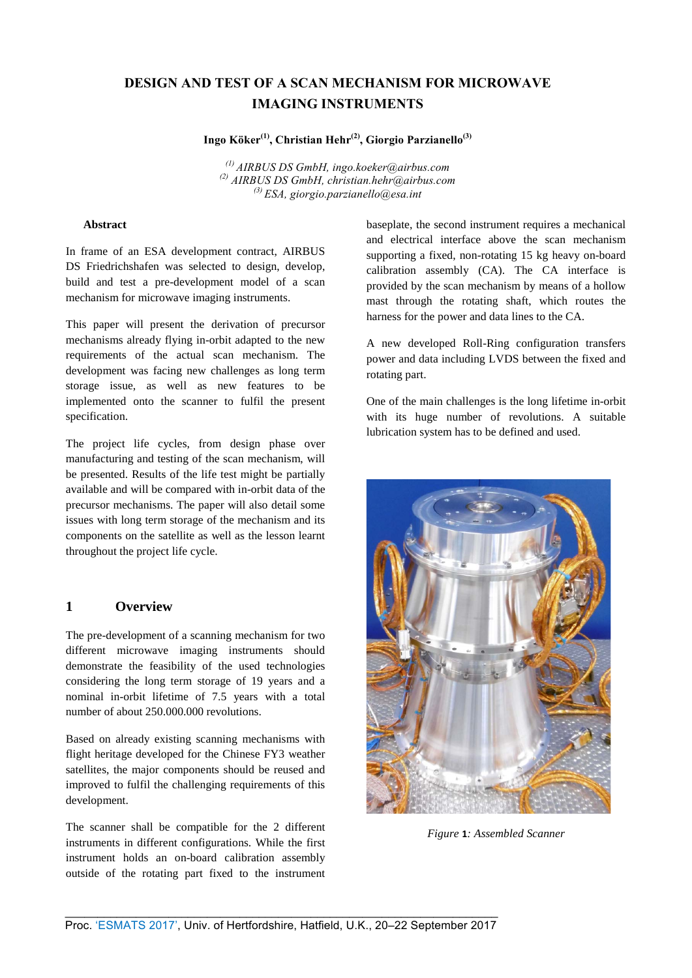# **DESIGN AND TEST OF A SCAN MECHANISM FOR MICROWAVE IMAGING INSTR[UMENTS](mailto:ingo.koeker@airbus.com)**

**Ingo Köker(1), Christian Hehr(2), Giorgio Parzianello(3)**

*(1) AIRBUS DS GmbH, ingo.koeker@airbus.com (2) AIRBUS DS GmbH, christian.hehr@airbus.com (3) ESA, giorgio.parzianello@esa.int*

## **Abstract**

In frame of an ESA development contract, AIRBUS DS Friedrichshafen was selected to design, develop, build and test a pre-development model of a scan mechanism for microwave imaging instruments.

This paper will present the derivation of precursor mechanisms already flying in-orbit adapted to the new requirements of the actual scan mechanism. The development was facing new challenges as long term storage issue, as well as new features to be implemented onto the scanner to fulfil the present specification.

The project life cycles, from design phase over manufacturing and testing of the scan mechanism, will be presented. Results of the life test might be partially available and will be compared with in-orbit data of the precursor mechanisms. The paper will also detail some issues with long term storage of the mechanism and its components on the satellite as well as the lesson learnt throughout the project life cycle.

# **1 Overview**

The pre-development of a scanning mechanism for two different microwave imaging instruments should demonstrate the feasibility of the used technologies considering the long term storage of 19 years and a nominal in-orbit lifetime of 7.5 years with a total number of about 250.000.000 revolutions.

Based on already existing scanning mechanisms with flight heritage developed for the Chinese FY3 weather satellites, the major components should be reused and improved to fulfil the challenging requirements of this development.

The scanner shall be compatible for the 2 different instruments in different configurations. While the first instrument holds an on-board calibration assembly outside of the rotating part fixed to the instrument baseplate, the second instrument requires a mechanical and electrical interface above the scan mechanism supporting a fixed, non-rotating 15 kg heavy on-board calibration assembly (CA). The CA interface is provided by the scan mechanism by means of a hollow mast through the rotating shaft, which routes the harness for the power and data lines to the CA.

A new developed Roll-Ring configuration transfers power and data including LVDS between the fixed and rotating part.

One of the main challenges is the long lifetime in-orbit with its huge number of revolutions. A suitable lubrication system has to be defined and used.



*Figure* **1***: Assembled Scanner*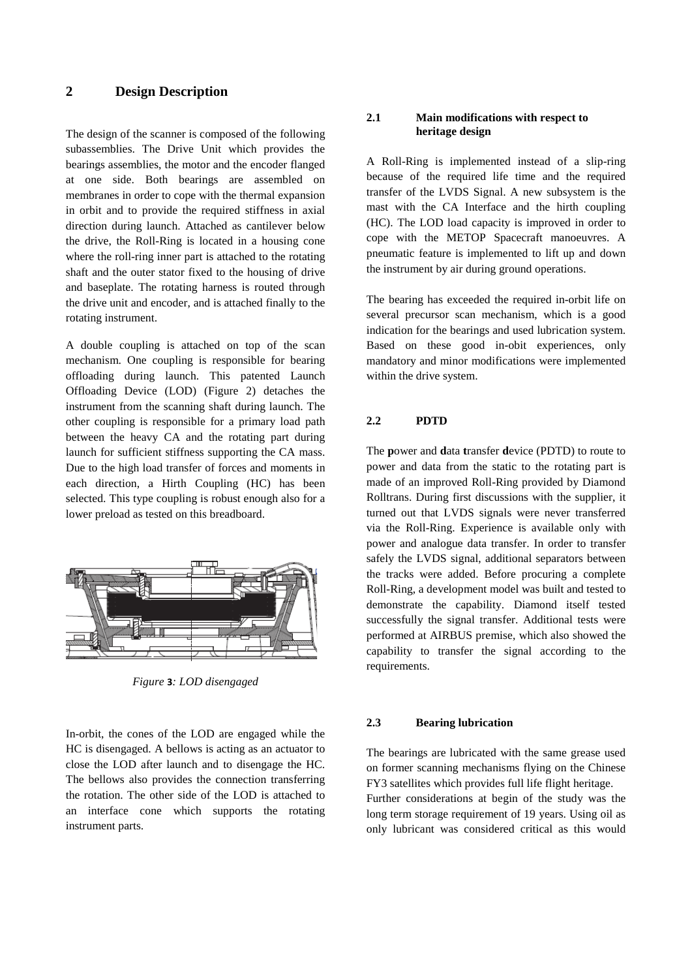# **2 Design Description**

The design of the scanner is composed of the following subassemblies. The Drive Unit which provides the bearings assemblies, the motor and the encoder flanged at one side. Both bearings are assembled on membranes in order to cope with the thermal expansion in orbit and to provide the required stiffness in axial direction during launch. Attached as cantilever below the drive, the Roll-Ring is located in a housing cone where the roll-ring inner part is attached to the rotating shaft and the outer stator fixed to the housing of drive and baseplate. The rotating harness is routed through the drive unit and encoder, and is attached finally to the rotating instrument.

A double coupling is attached on top of the scan mechanism. One coupling is responsible for bearing offloading during launch. This patented Launch Offloading Device (LOD) (Figure 2) detaches the instrument from the scanning shaft during launch. The other coupling is responsible for a primary load path between the heavy CA and the rotating part during launch for sufficient stiffness supporting the CA mass. Due to the high load transfer of forces and moments in each direction, a Hirth Coupling (HC) has been selected. This type coupling is robust enough also for a lower preload as tested on this breadboard.



*Figure* **3***: LOD disengaged*

In-orbit, the cones of the LOD are engaged while the HC is disengaged. A bellows is acting as an actuator to close the LOD after launch and to disengage the HC. The bellows also provides the connection transferring the rotation. The other side of the LOD is attached to an interface cone which supports the rotating instrument parts.

#### **2.1 Main modifications with respect to heritage design**

A Roll-Ring is implemented instead of a slip-ring because of the required life time and the required transfer of the LVDS Signal. A new subsystem is the mast with the CA Interface and the hirth coupling (HC). The LOD load capacity is improved in order to cope with the METOP Spacecraft manoeuvres. A pneumatic feature is implemented to lift up and down the instrument by air during ground operations.

The bearing has exceeded the required in-orbit life on several precursor scan mechanism, which is a good indication for the bearings and used lubrication system. Based on these good in-obit experiences, only mandatory and minor modifications were implemented within the drive system.

## **2.2 PDTD**

The **p**ower and **d**ata **t**ransfer **d**evice (PDTD) to route to power and data from the static to the rotating part is made of an improved Roll-Ring provided by Diamond Rolltrans. During first discussions with the supplier, it turned out that LVDS signals were never transferred via the Roll-Ring. Experience is available only with power and analogue data transfer. In order to transfer safely the LVDS signal, additional separators between the tracks were added. Before procuring a complete Roll-Ring, a development model was built and tested to demonstrate the capability. Diamond itself tested successfully the signal transfer. Additional tests were performed at AIRBUS premise, which also showed the capability to transfer the signal according to the requirements.

#### **2.3 Bearing lubrication**

The bearings are lubricated with the same grease used on former scanning mechanisms flying on the Chinese FY3 satellites which provides full life flight heritage.

Further considerations at begin of the study was the long term storage requirement of 19 years. Using oil as only lubricant was considered critical as this would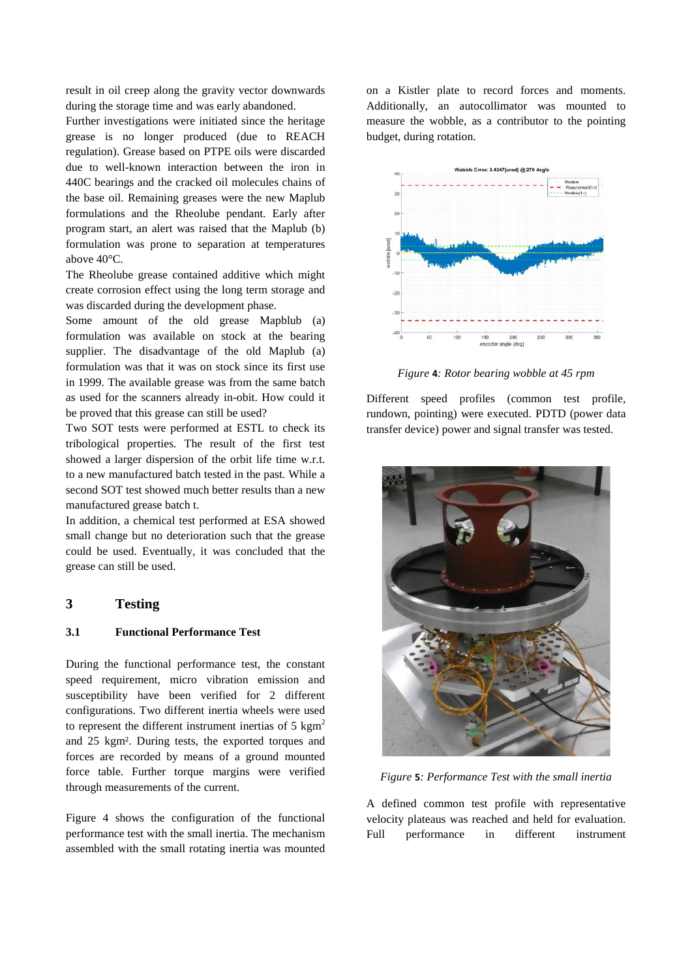result in oil creep along the gravity vector downwards during the storage time and was early abandoned.

Further investigations were initiated since the heritage grease is no longer produced (due to REACH regulation). Grease based on PTPE oils were discarded due to well-known interaction between the iron in 440C bearings and the cracked oil molecules chains of the base oil. Remaining greases were the new Maplub formulations and the Rheolube pendant. Early after program start, an alert was raised that the Maplub (b) formulation was prone to separation at temperatures above 40°C.

The Rheolube grease contained additive which might create corrosion effect using the long term storage and was discarded during the development phase.

Some amount of the old grease Mapblub (a) formulation was available on stock at the bearing supplier. The disadvantage of the old Maplub (a) formulation was that it was on stock since its first use in 1999. The available grease was from the same batch as used for the scanners already in-obit. How could it be proved that this grease can still be used?

Two SOT tests were performed at ESTL to check its tribological properties. The result of the first test showed a larger dispersion of the orbit life time w.r.t. to a new manufactured batch tested in the past. While a second SOT test showed much better results than a new manufactured grease batch t.

In addition, a chemical test performed at ESA showed small change but no deterioration such that the grease could be used. Eventually, it was concluded that the grease can still be used.

# **3 Testing**

#### **3.1 Functional Performance Test**

During the functional performance test, the constant speed requirement, micro vibration emission and susceptibility have been verified for 2 different configurations. Two different inertia wheels were used to represent the different instrument inertias of  $5 \text{ kgm}^2$ and 25 kgm². During tests, the exported torques and forces are recorded by means of a ground mounted force table. Further torque margins were verified through measurements of the current.

[Figure 4](#page-2-0) shows the configuration of the functional performance test with the small inertia. The mechanism assembled with the small rotating inertia was mounted

on a Kistler plate to record forces and moments. Additionally, an autocollimator was mounted to measure the wobble, as a contributor to the pointing budget, during rotation.



*Figure* **4***: Rotor bearing wobble at 45 rpm*

Different speed profiles (common test profile, rundown, pointing) were executed. PDTD (power data transfer device) power and signal transfer was tested.



*Figure* **5***: Performance Test with the small inertia*

<span id="page-2-0"></span>A defined common test profile with representative velocity plateaus was reached and held for evaluation. Full performance in different instrument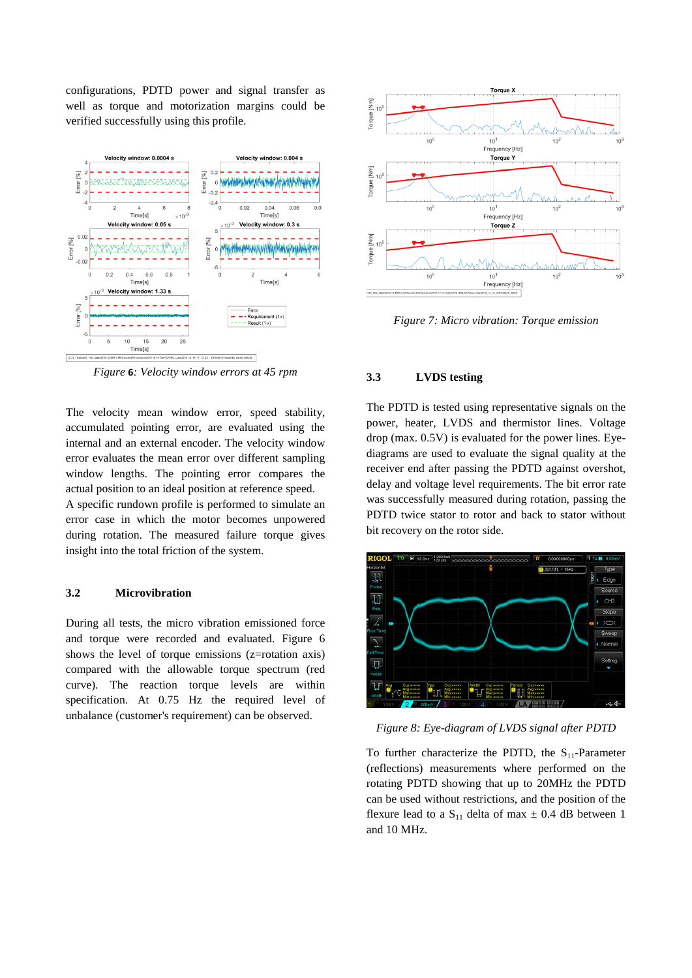configurations, PDTD power and signal transfer as well as torque and motorization margins could be verified successfully using this profile.



*Figure* **6***: Velocity window errors at 45 rpm*

The velocity mean window error, speed stability, accumulated pointing error, are evaluated using the internal and an external encoder. The velocity window error evaluates the mean error over different sampling window lengths. The pointing error compares the actual position to an ideal position at reference speed.

A specific rundown profile is performed to simulate an error case in which the motor becomes unpowered during rotation. The measured failure torque gives insight into the total friction of the system.

#### **3.2 Microvibration**

During all tests, the micro vibration emissioned force and torque were recorded and evaluated. [Figure 6](#page-3-0) shows the level of torque emissions (z=rotation axis) compared with the allowable torque spectrum (red curve). The reaction torque levels are within specification. At 0.75 Hz the required level of unbalance (customer's requirement) can be observed.



<span id="page-3-0"></span>*Figure 7: Micro vibration: Torque emission*

## **3.3 LVDS testing**

The PDTD is tested using representative signals on the power, heater, LVDS and thermistor lines. Voltage drop (max. 0.5V) is evaluated for the power lines. Eyediagrams are used to evaluate the signal quality at the receiver end after passing the PDTD against overshot, delay and voltage level requirements. The bit error rate was successfully measured during rotation, passing the PDTD twice stator to rotor and back to stator without bit recovery on the rotor side.



*Figure 8: Eye-diagram of LVDS signal after PDTD*

To further characterize the PDTD, the  $S_{11}$ -Parameter (reflections) measurements where performed on the rotating PDTD showing that up to 20MHz the PDTD can be used without restrictions, and the position of the flexure lead to a  $S_{11}$  delta of max  $\pm$  0.4 dB between 1 and 10 MHz.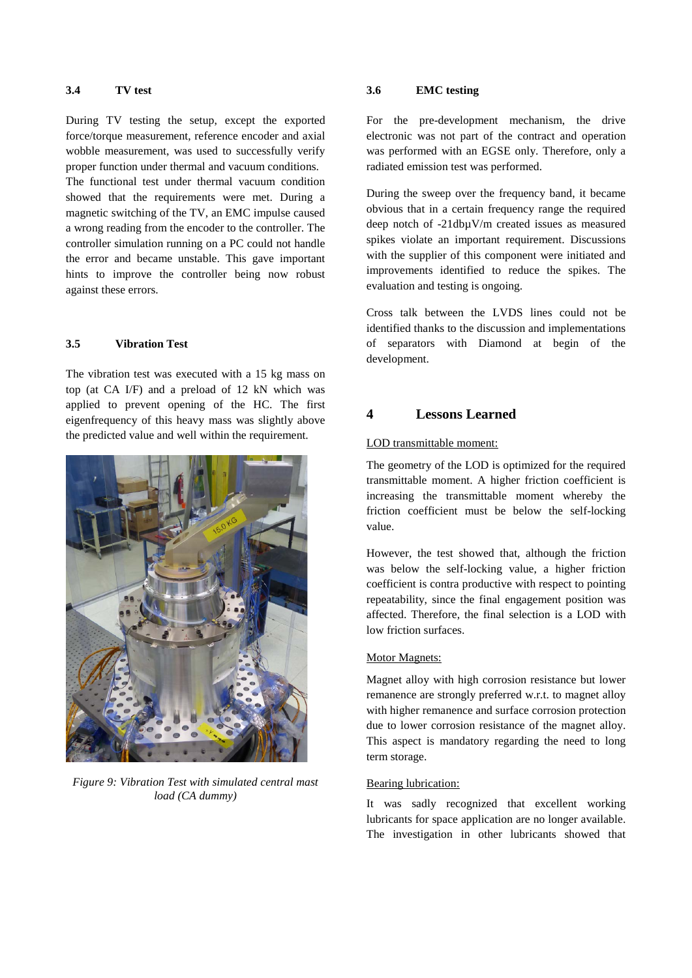## **3.4 TV test**

During TV testing the setup, except the exported force/torque measurement, reference encoder and axial wobble measurement, was used to successfully verify proper function under thermal and vacuum conditions.

The functional test under thermal vacuum condition showed that the requirements were met. During a magnetic switching of the TV, an EMC impulse caused a wrong reading from the encoder to the controller. The controller simulation running on a PC could not handle the error and became unstable. This gave important hints to improve the controller being now robust against these errors.

#### **3.5 Vibration Test**

The vibration test was executed with a 15 kg mass on top (at CA I/F) and a preload of 12 kN which was applied to prevent opening of the HC. The first eigenfrequency of this heavy mass was slightly above the predicted value and well within the requirement.



*Figure 9: Vibration Test with simulated central mast load (CA dummy)*

## **3.6 EMC testing**

For the pre-development mechanism, the drive electronic was not part of the contract and operation was performed with an EGSE only. Therefore, only a radiated emission test was performed.

During the sweep over the frequency band, it became obvious that in a certain frequency range the required deep notch of -21dbµV/m created issues as measured spikes violate an important requirement. Discussions with the supplier of this component were initiated and improvements identified to reduce the spikes. The evaluation and testing is ongoing.

Cross talk between the LVDS lines could not be identified thanks to the discussion and implementations of separators with Diamond at begin of the development.

## **4 Lessons Learned**

#### LOD transmittable moment:

The geometry of the LOD is optimized for the required transmittable moment. A higher friction coefficient is increasing the transmittable moment whereby the friction coefficient must be below the self-locking value.

However, the test showed that, although the friction was below the self-locking value, a higher friction coefficient is contra productive with respect to pointing repeatability, since the final engagement position was affected. Therefore, the final selection is a LOD with low friction surfaces.

#### Motor Magnets:

Magnet alloy with high corrosion resistance but lower remanence are strongly preferred w.r.t. to magnet alloy with higher remanence and surface corrosion protection due to lower corrosion resistance of the magnet alloy. This aspect is mandatory regarding the need to long term storage.

#### Bearing lubrication:

It was sadly recognized that excellent working lubricants for space application are no longer available. The investigation in other lubricants showed that